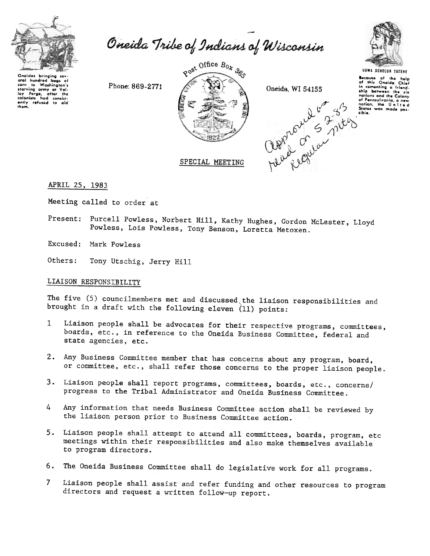

or an invited bags of<br>start to Washington's<br>starting army at Vali-<br>ley Forge, after the<br>colonists had consist-<br>only refused to ald<br>them.

Oneida Tribe of Indians of Wisconsin



Phone: 869-2771



SPECIAL MEETING

Oneida, WI 54155



UGWA DEHOLUN YATEHE Because of the help<br>of this Oneida Chief<br>in cementing a friend-<br>ship between the six nations and the Colony of Pennsylvania, a new<br>nation, the United<br>States was made possible.

APRIL 25, 1983

Meeting called to order at

Purcell Powless, Norbert Hill, Kathy Hughes, Gordon McLester, Lloyd Present: Powless, Lois Powless, Tony Benson, Loretta Metoxen.

Excused: Mark Powless

Others: Tony Utschig, Jerry Hill

# LIAISON RESPONSIBILITY

The five (5) councilmembers met and discussed the liaison responsibilities and brought in a draft with the following eleven  $(11)$  points:

- Liaison people shall be advocates for their respective programs, committees,  $\mathbf{1}$ boards, etc., in reference to the Oneida Business Committee, federal and state agencies, etc.
- 2. Any Business Committee member that has concerns about any program, board, or committee, etc., shall refer those concerns to the proper liaison people.
- 3. Liaison people shall report programs, committees, boards, etc., concerns/ progress to the Tribal Administrator and Oneida Business Committee.
- Any information that needs Business Committee action shall be reviewed by 4 the liaison person prior to Business Committee action.
- 5. Liaison people shall attempt to attend all committees, boards, program, etc meetings within their responsibilities and also make themselves available to program directors.
- 6. The Oneida Business Committee shall do legislative work for all programs.
- Liaison people shall assist and refer funding and other resources to program  $7<sup>7</sup>$ directors and request a written follow-up report.